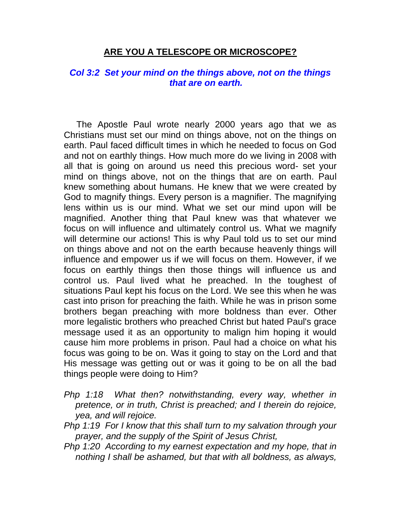#### **ARE YOU A TELESCOPE OR MICROSCOPE?**

#### *Col 3:2 Set your mind on the things above, not on the things that are on earth.*

 The Apostle Paul wrote nearly 2000 years ago that we as Christians must set our mind on things above, not on the things on earth. Paul faced difficult times in which he needed to focus on God and not on earthly things. How much more do we living in 2008 with all that is going on around us need this precious word- set your mind on things above, not on the things that are on earth. Paul knew something about humans. He knew that we were created by God to magnify things. Every person is a magnifier. The magnifying lens within us is our mind. What we set our mind upon will be magnified. Another thing that Paul knew was that whatever we focus on will influence and ultimately control us. What we magnify will determine our actions! This is why Paul told us to set our mind on things above and not on the earth because heavenly things will influence and empower us if we will focus on them. However, if we focus on earthly things then those things will influence us and control us. Paul lived what he preached. In the toughest of situations Paul kept his focus on the Lord. We see this when he was cast into prison for preaching the faith. While he was in prison some brothers began preaching with more boldness than ever. Other more legalistic brothers who preached Christ but hated Paul's grace message used it as an opportunity to malign him hoping it would cause him more problems in prison. Paul had a choice on what his focus was going to be on. Was it going to stay on the Lord and that His message was getting out or was it going to be on all the bad things people were doing to Him?

- *Php 1:18 What then? notwithstanding, every way, whether in pretence, or in truth, Christ is preached; and I therein do rejoice, yea, and will rejoice.*
- *Php 1:19 For I know that this shall turn to my salvation through your prayer, and the supply of the Spirit of Jesus Christ,*
- *Php 1:20 According to my earnest expectation and my hope, that in nothing I shall be ashamed, but that with all boldness, as always,*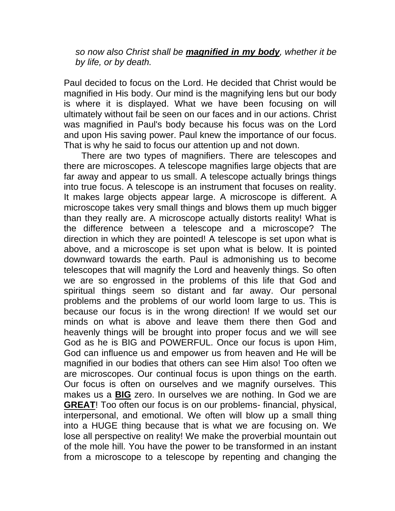*so now also Christ shall be magnified in my body, whether it be by life, or by death.* 

Paul decided to focus on the Lord. He decided that Christ would be magnified in His body. Our mind is the magnifying lens but our body is where it is displayed. What we have been focusing on will ultimately without fail be seen on our faces and in our actions. Christ was magnified in Paul's body because his focus was on the Lord and upon His saving power. Paul knew the importance of our focus. That is why he said to focus our attention up and not down.

 There are two types of magnifiers. There are telescopes and there are microscopes. A telescope magnifies large objects that are far away and appear to us small. A telescope actually brings things into true focus. A telescope is an instrument that focuses on reality. It makes large objects appear large. A microscope is different. A microscope takes very small things and blows them up much bigger than they really are. A microscope actually distorts reality! What is the difference between a telescope and a microscope? The direction in which they are pointed! A telescope is set upon what is above, and a microscope is set upon what is below. It is pointed downward towards the earth. Paul is admonishing us to become telescopes that will magnify the Lord and heavenly things. So often we are so engrossed in the problems of this life that God and spiritual things seem so distant and far away. Our personal problems and the problems of our world loom large to us. This is because our focus is in the wrong direction! If we would set our minds on what is above and leave them there then God and heavenly things will be brought into proper focus and we will see God as he is BIG and POWERFUL. Once our focus is upon Him, God can influence us and empower us from heaven and He will be magnified in our bodies that others can see Him also! Too often we are microscopes. Our continual focus is upon things on the earth. Our focus is often on ourselves and we magnify ourselves. This makes us a **BIG** zero. In ourselves we are nothing. In God we are **GREAT**! Too often our focus is on our problems- financial, physical, interpersonal, and emotional. We often will blow up a small thing into a HUGE thing because that is what we are focusing on. We lose all perspective on reality! We make the proverbial mountain out of the mole hill. You have the power to be transformed in an instant from a microscope to a telescope by repenting and changing the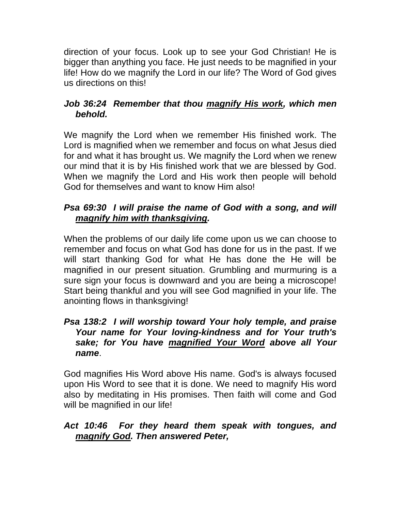direction of your focus. Look up to see your God Christian! He is bigger than anything you face. He just needs to be magnified in your life! How do we magnify the Lord in our life? The Word of God gives us directions on this!

## *Job 36:24 Remember that thou magnify His work, which men behold.*

We magnify the Lord when we remember His finished work. The Lord is magnified when we remember and focus on what Jesus died for and what it has brought us. We magnify the Lord when we renew our mind that it is by His finished work that we are blessed by God. When we magnify the Lord and His work then people will behold God for themselves and want to know Him also!

# *Psa 69:30 I will praise the name of God with a song, and will magnify him with thanksgiving.*

When the problems of our daily life come upon us we can choose to remember and focus on what God has done for us in the past. If we will start thanking God for what He has done the He will be magnified in our present situation. Grumbling and murmuring is a sure sign your focus is downward and you are being a microscope! Start being thankful and you will see God magnified in your life. The anointing flows in thanksgiving!

### *Psa 138:2 I will worship toward Your holy temple, and praise Your name for Your loving-kindness and for Your truth's sake; for You have magnified Your Word above all Your name*.

God magnifies His Word above His name. God's is always focused upon His Word to see that it is done. We need to magnify His word also by meditating in His promises. Then faith will come and God will be magnified in our life!

## *Act 10:46 For they heard them speak with tongues, and magnify God. Then answered Peter,*